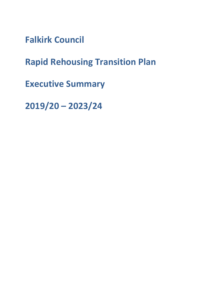**Falkirk Council** 

**Rapid Rehousing Transition Plan** 

**Executive Summary** 

**2019/20 – 2023/24**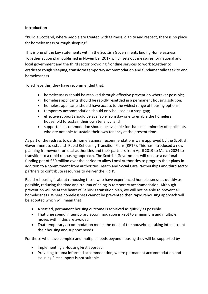# **Introduction**

"Build a Scotland, where people are treated with fairness, dignity and respect, there is no place for homelessness or rough sleeping"

This is one of the key statements within the Scottish Governments Ending Homelessness Together action plan published in November 2017 which sets out measures for national and local government and the third sector providing frontline services to work together to eradicate rough sleeping, transform temporary accommodation and fundamentally seek to end homelessness.

To achieve this, they have recommended that:

- homelessness should be resolved through effective prevention wherever possible;
- homeless applicants should be rapidly resettled in a permanent housing solution;
- homeless applicants should have access to the widest range of housing options;
- temporary accommodation should only be used as a stop-gap;
- effective support should be available from day one to enable the homeless household to sustain their own tenancy, and
- supported accommodation should be available for that small minority of applicants who are not able to sustain their own tenancy at the present time.

As part of the redress towards homelessness, recommendations were approved by the Scottish Government to establish Rapid Rehousing Transition Plans (RRTP). This has introduced a new planning framework for local authorities and their partners from April 2019 to March 2024 to transition to a rapid rehousing approach. The Scottish Government will release a national funding pot of £50 million over the period to allow Local Authorities to progress their plans in addition to a commitment from authorities Health and Social Care Partnerships and third sector partners to contribute resources to deliver the RRTP.

Rapid rehousing is about rehousing those who have experienced homelessness as quickly as possible, reducing the time and trauma of being in temporary accommodation. Although prevention will be at the heart of Falkirk's transition plan, we will not be able to prevent all homelessness. Where homelessness cannot be prevented then rapid rehousing approach will be adopted which will mean that

- A settled, permanent housing outcome is achieved as quickly as possible
- That time spend in temporary accommodation is kept to a minimum and multiple moves within this are avoided
- That temporary accommodation meets the need of the household, taking into account their housing and support needs.

For those who have complex and multiple needs beyond housing they will be supported by

- Implementing a Housing First approach
- Providing trauma informed accommodation, where permanent accommodation and Housing First support is not suitable.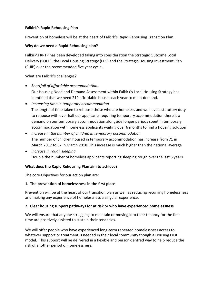# **Falkirk's Rapid Rehousing Plan**

Prevention of homeless will be at the heart of Falkirk's Rapid Rehousing Transition Plan.

# **Why do we need a Rapid Rehousing plan?**

Falkirk's RRTP has been developed taking into consideration the Strategic Outcome Local Delivery (SOLD), the Local Housing Strategy (LHS) and the Strategic Housing Investment Plan (SHIP) over the recommended five year cycle.

What are Falkirk's challenges?

- *Shortfall of affordable accommodation.*  Our Housing Need and Demand Assessment within Falkirk's Local Housing Strategy has identified that we need 219 affordable houses each year to meet demand.
- *Increasing time in temporary accommodation*  The length of time taken to rehouse those who are homeless and we have a statutory duty to rehouse with over half our applicants requiring temporary accommodation there is a demand on our temporary accommodation alongside longer periods spent in temporary accommodation with homeless applicants waiting over 6 months to find a housing solution
- *Increase in the number of children in temporary accommodation*  The number of children housed in temporary accommodation has increase from 71 in March 2017 to 87 in March 2018. This increase is much higher than the national average
- *Increase in rough sleeping*  Double the number of homeless applicants reporting sleeping rough over the last 5 years

### **What does the Rapid Rehousing Plan aim to achieve?**

The core Objectives for our action plan are:

# **1. The prevention of homelessness in the first place**

Prevention will be at the heart of our transition plan as well as reducing recurring homelessness and making any experience of homelessness a singular experience.

### **2. Clear housing support pathways for at risk or who have experienced homelessness**

We will ensure that anyone struggling to maintain or moving into their tenancy for the first time are positively assisted to sustain their tenancies.

We will offer people who have experienced long-term repeated homelessness access to whatever support or treatment is needed in their local community though a Housing First model. This support will be delivered in a flexible and person-centred way to help reduce the risk of another period of homelessness.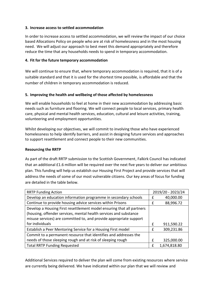#### **3. Increase access to settled accommodation**

In order to increase access to settled accommodation, we will review the impact of our choice based Allocations Policy on people who are at risk of homelessness and in the most housing need. We will adjust our approach to best meet this demand appropriately and therefore reduce the time that any households needs to spend in temporary accommodation.

#### **4. Fit for the future temporary accommodation**

We will continue to ensure that, where temporary accommodation is required, that it is of a suitable standard and that it is used for the shortest time possible, is affordable and that the number of children in temporary accommodation is reduced.

#### **5. Improving the health and wellbeing of those affected by homelessness**

We will enable households to feel at home in their new accommodation by addressing basic needs such as furniture and flooring. We will connect people to local services, primary health care, physical and mental health services, education, cultural and leisure activities, training, volunteering and employment opportunities.

Whilst developing our objectives, we will commit to involving those who have experienced homelessness to help identify barriers, and assist in designing future services and approaches to support resettlement and connect people to their new communities.

#### **Resourcing the RRTP**

As part of the draft RRTP submission to the Scottish Government, Falkirk Council has indicated that an additional £1.6 million will be required over the next five years to deliver our ambitious plan. This funding will help us establish our Housing First Project and provide services that will address the needs of some of our most vulnerable citizens. Our key areas of focus for funding are detailed in the table below.

| <b>RRTP Funding Action</b>                                                                                                                                                                                       | 2019/20 - 2023/24 |              |
|------------------------------------------------------------------------------------------------------------------------------------------------------------------------------------------------------------------|-------------------|--------------|
| Develop an education information programme in secondary schools                                                                                                                                                  | f                 | 40,000.00    |
| Continue to provide housing advice services within Prisons                                                                                                                                                       | f                 | 88,996.72    |
| Develop a Housing First resettlement model ensuring that all partners<br>(housing, offender services, mental health services and substance<br>misuse services) are committed to, and provide appropriate support |                   |              |
| for individuals                                                                                                                                                                                                  | f                 | 911,590.22   |
| Establish a Peer Mentoring Service for a Housing First model                                                                                                                                                     | f                 | 309,231.86   |
| Commit to a permanent resource that identifies and addresses the                                                                                                                                                 |                   |              |
| needs of those sleeping rough and at risk of sleeping rough                                                                                                                                                      | £                 | 325,000.00   |
| <b>Total RRTP Funding Requested</b>                                                                                                                                                                              | f                 | 1,674,818.80 |

Additional Services required to deliver the plan will come from existing resources where service are currently being delivered. We have indicated within our plan that we will review and